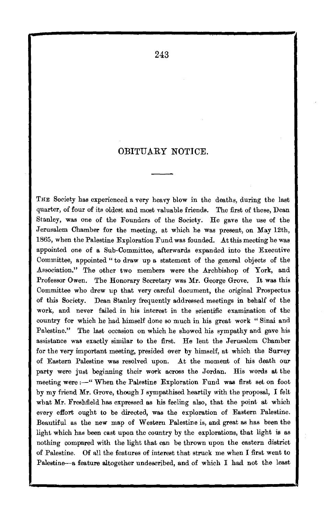## OBITUARY NOTICE.

THE Society has experienced a very heavy blow in the deaths, during the last quarter, of four of its oldest and most valuable friends. The first of these, Dean Stanley, was one of the Founders of the Society. He gave the use of the Jerusalem Chamber for the meeting, at which he was present, on May 12th, 1865, when the Palestine Exploration Fund was founded. At this meeting he was appointed one of a Sub-Committee, afterwards expanded into the Executive Committee, appointed " to draw up a statement of the general objects of the Association." The other two members were the Archbishop of York, and Professor Owen. The Honorary Secretary was Mr. George Grove. It was this Committee who drew up that very careful document, the original Prospectus of this Society. Dean Stanley frequently addressed meetings in behalf of the work, and never failed in his interest in the scientific examination of the country for which he had himself done so much in his great work "Sinai and Palestine." The last occasion on which he showed his sympathy and gave his assistance was exactly similar to the first. He lent the Jerusalem Chamber for the very important meeting, presided over by himself, at which the Survey of Eastern Palestine was resolved upon. At the moment of his death our party were just beginning their work across the Jordan. His words at the meeting were :--" When the Palestine Exploration Fund was first set on foot by my friend Mr. Grove, though J sympathised heartily with the proposal, I felt what Mr. Freshfield has expressed as his feeling also, that the point at which every effort ought to be directed, was the exploration of Eastern Palestine. Beautiful as the new map of Western Palestine is, and great as has been the light which ha• been cast upon the country by the explorations, that light is as nothing compared with the light that can be thrown upon the eastern district of Palestine. Of all the features of interest that struck me when I first went to Palestine-a feature altogether undescribed, and of which I had not the least

243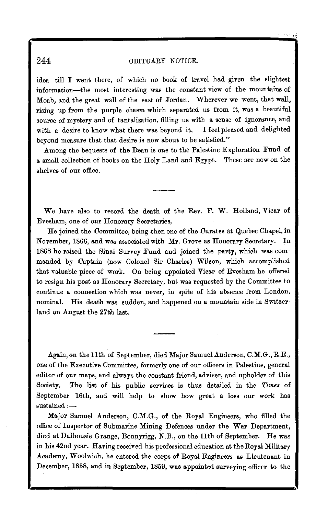# 244 OBITUARY NOTICE.

idea till I went there, of which no book of travel had given the slightest information-the most interesting was the constant view of the mountains of Moab, and the great wall of the east of Jordan. Wherever we went, that wall, rising up from the purple chasm which separated us from it, was a beautiful source of mystery and of tantalization, filling us with a sense of ignorance, and with a desire to know what there was beyond it. I feel pleased and delighted beyond measure that that desire is now about to be satisfied."

.Among the bequests of the Dean is one to the Palestine Exploration Fund of a small collection of books on the Holy Land and Egypt. These are now on the shelves of our office.

We have also to record the death of the Rev. F. W. Holland, Vicar of Evesham, one of our Honorary Secretaries,

He joined the Committee, being then one of the Curates at Q,uebec Chapel, in November, 1866, and was associated with Mr. Grove as Honorary Secretary. In 1868 he raised the Sinai Survey Fund and joined the party, which was corn· manded by Captain (now Colonel Sir Charles) Wilson, which accomplished that valuable piece of work. On being appointed Vicar of Evesham he offered to resign his post as Honorary Secretary, but. was requested by the Committee to continue a connection which was never, in spite of his absence from London, nominal. His death was sudden, and happened on a mountain side in Switzer· land on August the 27th last.

Again, on the 11th of September, died Major Samuel Anderson, C.M.G., R.E., one of the Executive Committee, formerly one of our officers in Palestine, general editor of our maps, and always the constant friend, adviser, and upholder of this Society. The list of his public services is thus detailed in the *Times* of September 16th, and will help to show how great a loss our work has  $s$ ustained  $:$ ---

Major Samuel Anderson, C.M.G., of the Royal Engineers, who filled the office of Inspector of Submarine Mining Defences under the War Department, died at Dalhousie Grange, Bonnyrigg, N.B., on the 11th of September. He was in his 42nd year. Having received his professional education at the Royal Military .Academy, W oolwich, he entered the corps of Royal Engineers as Lieutenant in December, 1858, and in September, 1859, was appointed surveying officer to the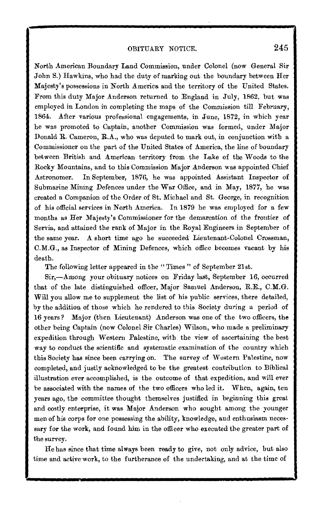North American Boundary Land Commission, under Colonel (now General Sir In American Boundary Land Commission, under Colonel (now General Sir John S.) Hawkins, who had the duty of marking out the boundary between Her Majesty's possessions in North America and the territory of the United States. From this duty Major Anderson returned to England in July, 1862, but was employed in London in completing the maps of the Commission till February, 1864. After various professional engagements, in June, 1872, in which year he was promoted to Captain, another Commission was formed, under Major Donald R. Cameron, R.A., who was deputed to mark out, in conjunction with a Commissioner on the part of the United States of America, the line of boundary between British and American territory from the Lake of the Woods to the Rocky Mountains, and to this Commission Major Anderson was appointed Chief Astronomer. In September, 1876, he was appointed Assistant Inspector of In September, 1876, he was appointed Assistant Inspector of Submarine Mining Defences under the War Office, and in May, 1877, he was created a Companion of the Order of St. Michael and St. George, in recognition of his official services in North America. In 1879 he was employed for a few months as Her Majesty's Commissioner for the demarcation of the frontier of Servia, and attained the rank of Major in the Royal Engineers in September of the same year. A short time ago he succeeded Lieutenant-Colonel Crossman, C.M.G., as Inspector of Mining Defences, which office becomes vacant by his death.

The following letter appeared in the "Times" of September 21st.

Sir,-Among your obituary notices on Friday last, September 16, occurred that of the late distinguished officer, Major Samuel Anderson, R.E., C.M.G. Will you allow me to supplement the list of his public services, there detailed, by the addition of those which he rendered to this Society during a period of 16 years? Major (then Lieutenant) Anderson was one of the two officers, the other being Captain (now Colonel Sir Charles) Wilson, who made a preliminary expedition through Western Palestine, with the view of ascertaining the best way to conduct the scientific and systematic examination of the country which this Society has since been carrying on. The survey of Western Palestine, now completed, and justly acknowledged to be the greatest contribution to Biblical illustration ever accomplished, is the outcome of that expedition, and will ever be associated with the names of the two officers who led it. When, again, ten years ago, the committee thought themselves justified in beginning this great and costly enterprise, it was Major Anderson who sought among the younger men of his corps for one possessing the ability, knowledge, and enthusiasm necessary for the work, and found him in the officer who executed the greater part of the survey.  $\text{Hey.}$ 

He has since that time always been ready to give, not only advice, but also time and active work, to the furtherance of the undertaking, and at the time of

 $\sim$